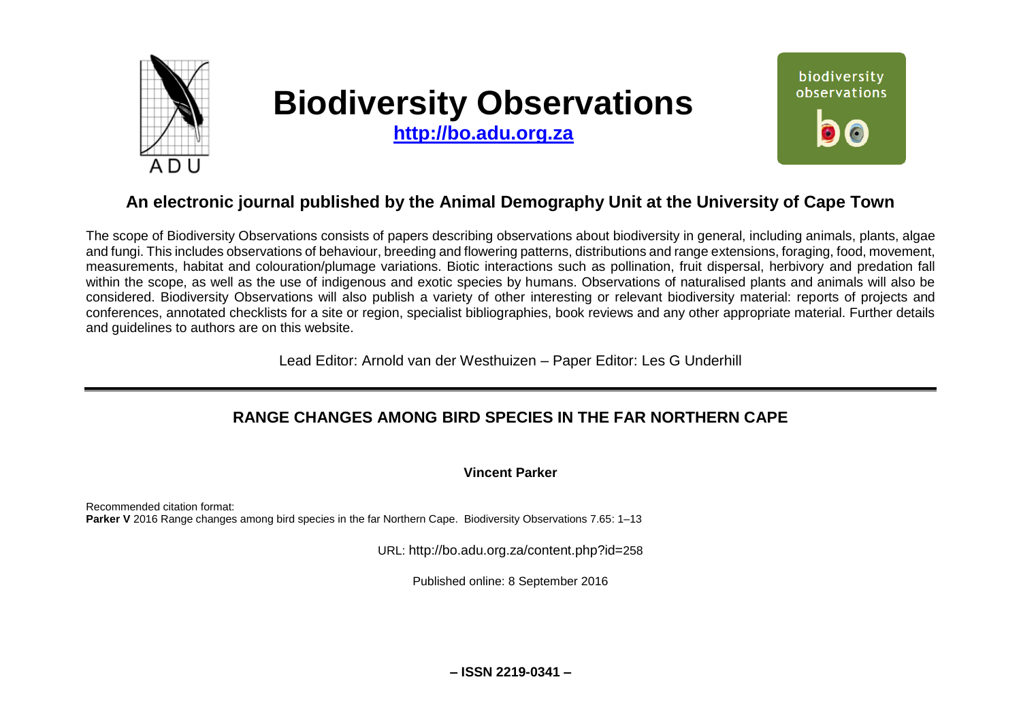

# **Biodiversity Observations**

**[http://bo.adu.org.za](http://bo.adu.org.za/)**



# **An electronic journal published by the Animal Demography Unit at the University of Cape Town**

The scope of Biodiversity Observations consists of papers describing observations about biodiversity in general, including animals, plants, algae and fungi. This includes observations of behaviour, breeding and flowering patterns, distributions and range extensions, foraging, food, movement, measurements, habitat and colouration/plumage variations. Biotic interactions such as pollination, fruit dispersal, herbivory and predation fall within the scope, as well as the use of indigenous and exotic species by humans. Observations of naturalised plants and animals will also be considered. Biodiversity Observations will also publish a variety of other interesting or relevant biodiversity material: reports of projects and conferences, annotated checklists for a site or region, specialist bibliographies, book reviews and any other appropriate material. Further details and guidelines to authors are on this website.

Lead Editor: Arnold van der Westhuizen – Paper Editor: Les G Underhill

# **RANGE CHANGES AMONG BIRD SPECIES IN THE FAR NORTHERN CAPE**

**Vincent Parker**

Recommended citation format: **Parker V** 2016 Range changes among bird species in the far Northern Cape. Biodiversity Observations 7.65: 1–13

URL: http://bo.adu.org.za/content.php?id=258

Published online: 8 September 2016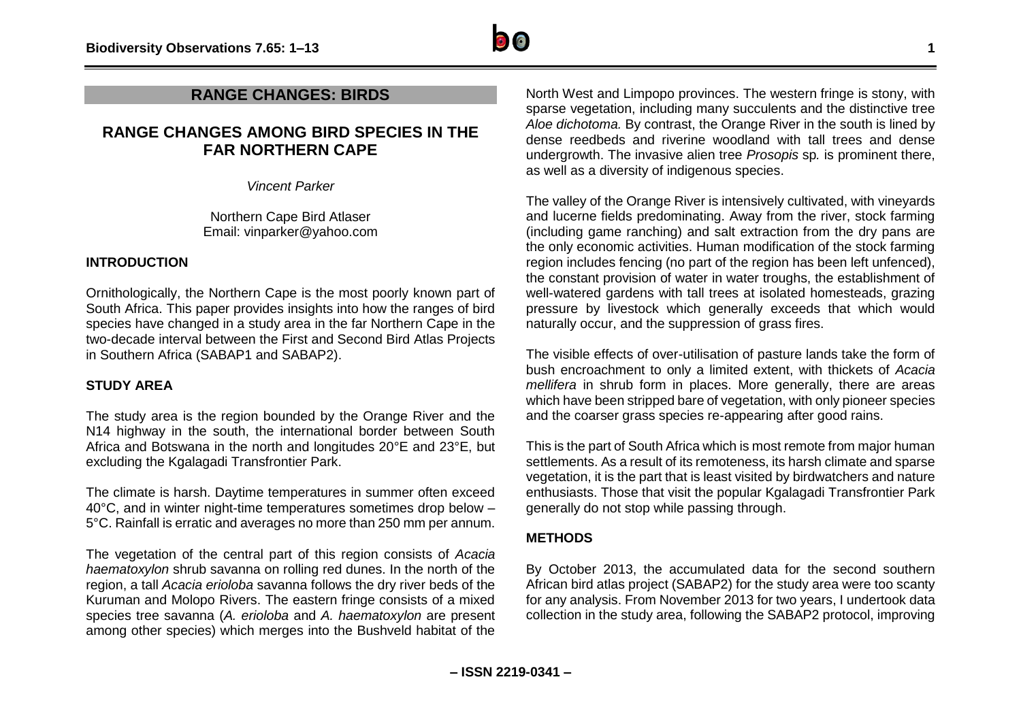

# **RANGE CHANGES: BIRDS**

# **RANGE CHANGES AMONG BIRD SPECIES IN THE FAR NORTHERN CAPE**

*Vincent Parker*

Northern Cape Bird Atlaser Email: vinparker@yahoo.com

# **INTRODUCTION**

Ornithologically, the Northern Cape is the most poorly known part of South Africa. This paper provides insights into how the ranges of bird species have changed in a study area in the far Northern Cape in the two-decade interval between the First and Second Bird Atlas Projects in Southern Africa (SABAP1 and SABAP2).

#### **STUDY AREA**

The study area is the region bounded by the Orange River and the N14 highway in the south, the international border between South Africa and Botswana in the north and longitudes 20°E and 23°E, but excluding the Kgalagadi Transfrontier Park.

The climate is harsh. Daytime temperatures in summer often exceed 40°C, and in winter night-time temperatures sometimes drop below – 5°C. Rainfall is erratic and averages no more than 250 mm per annum.

The vegetation of the central part of this region consists of *Acacia haematoxylon* shrub savanna on rolling red dunes. In the north of the region, a tall *Acacia erioloba* savanna follows the dry river beds of the Kuruman and Molopo Rivers. The eastern fringe consists of a mixed species tree savanna (*A. erioloba* and *A. haematoxylon* are present among other species) which merges into the Bushveld habitat of the

North West and Limpopo provinces. The western fringe is stony, with sparse vegetation, including many succulents and the distinctive tree *Aloe dichotoma.* By contrast, the Orange River in the south is lined by dense reedbeds and riverine woodland with tall trees and dense undergrowth. The invasive alien tree *Prosopis* sp*.* is prominent there, as well as a diversity of indigenous species.

The valley of the Orange River is intensively cultivated, with vineyards and lucerne fields predominating. Away from the river, stock farming (including game ranching) and salt extraction from the dry pans are the only economic activities. Human modification of the stock farming region includes fencing (no part of the region has been left unfenced), the constant provision of water in water troughs, the establishment of well-watered gardens with tall trees at isolated homesteads, grazing pressure by livestock which generally exceeds that which would naturally occur, and the suppression of grass fires.

The visible effects of over-utilisation of pasture lands take the form of bush encroachment to only a limited extent, with thickets of *Acacia mellifera* in shrub form in places. More generally, there are areas which have been stripped bare of vegetation, with only pioneer species and the coarser grass species re-appearing after good rains.

This is the part of South Africa which is most remote from major human settlements. As a result of its remoteness, its harsh climate and sparse vegetation, it is the part that is least visited by birdwatchers and nature enthusiasts. Those that visit the popular Kgalagadi Transfrontier Park generally do not stop while passing through.

#### **METHODS**

By October 2013, the accumulated data for the second southern African bird atlas project (SABAP2) for the study area were too scanty for any analysis. From November 2013 for two years, I undertook data collection in the study area, following the SABAP2 protocol, improving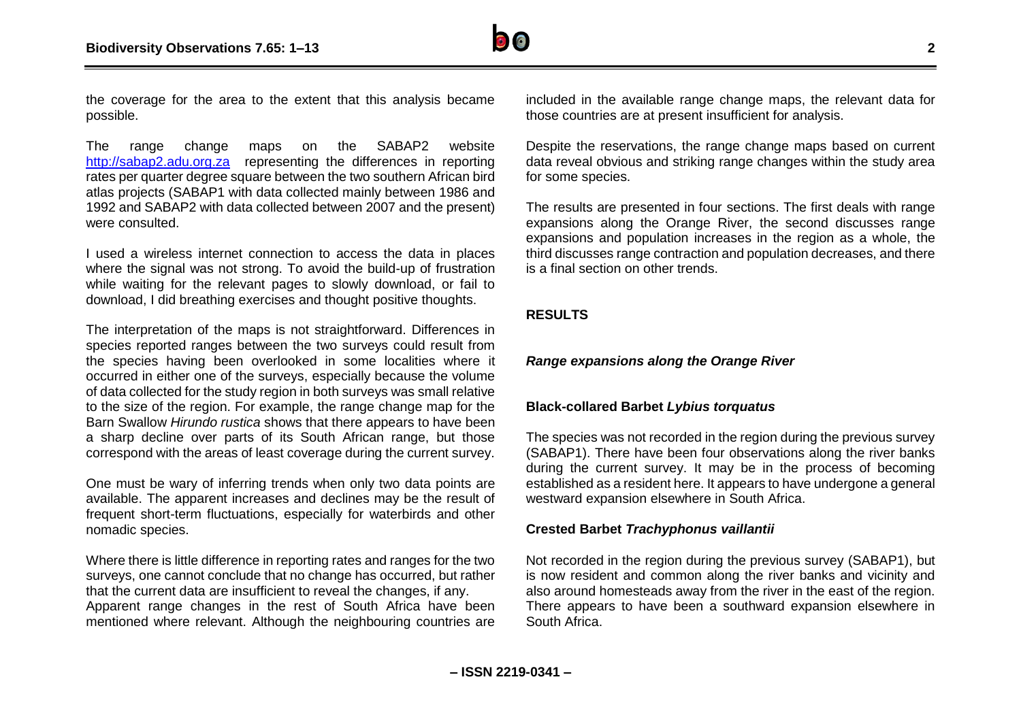

the coverage for the area to the extent that this analysis became possible.

The range change maps on the SABAP2 website [http://sabap2.adu.org.za](http://sabap2.adu.org.za/) representing the differences in reporting rates per quarter degree square between the two southern African bird atlas projects (SABAP1 with data collected mainly between 1986 and 1992 and SABAP2 with data collected between 2007 and the present) were consulted.

I used a wireless internet connection to access the data in places where the signal was not strong. To avoid the build-up of frustration while waiting for the relevant pages to slowly download, or fail to download, I did breathing exercises and thought positive thoughts.

The interpretation of the maps is not straightforward. Differences in species reported ranges between the two surveys could result from the species having been overlooked in some localities where it occurred in either one of the surveys, especially because the volume of data collected for the study region in both surveys was small relative to the size of the region. For example, the range change map for the Barn Swallow *Hirundo rustica* shows that there appears to have been a sharp decline over parts of its South African range, but those correspond with the areas of least coverage during the current survey.

One must be wary of inferring trends when only two data points are available. The apparent increases and declines may be the result of frequent short-term fluctuations, especially for waterbirds and other nomadic species.

Where there is little difference in reporting rates and ranges for the two surveys, one cannot conclude that no change has occurred, but rather that the current data are insufficient to reveal the changes, if any. Apparent range changes in the rest of South Africa have been mentioned where relevant. Although the neighbouring countries are included in the available range change maps, the relevant data for those countries are at present insufficient for analysis.

Despite the reservations, the range change maps based on current data reveal obvious and striking range changes within the study area for some species.

The results are presented in four sections. The first deals with range expansions along the Orange River, the second discusses range expansions and population increases in the region as a whole, the third discusses range contraction and population decreases, and there is a final section on other trends.

#### **RESULTS**

#### *Range expansions along the Orange River*

#### **Black-collared Barbet** *Lybius torquatus*

The species was not recorded in the region during the previous survey (SABAP1). There have been four observations along the river banks during the current survey. It may be in the process of becoming established as a resident here. It appears to have undergone a general westward expansion elsewhere in South Africa.

#### **Crested Barbet** *Trachyphonus vaillantii*

Not recorded in the region during the previous survey (SABAP1), but is now resident and common along the river banks and vicinity and also around homesteads away from the river in the east of the region. There appears to have been a southward expansion elsewhere in South Africa.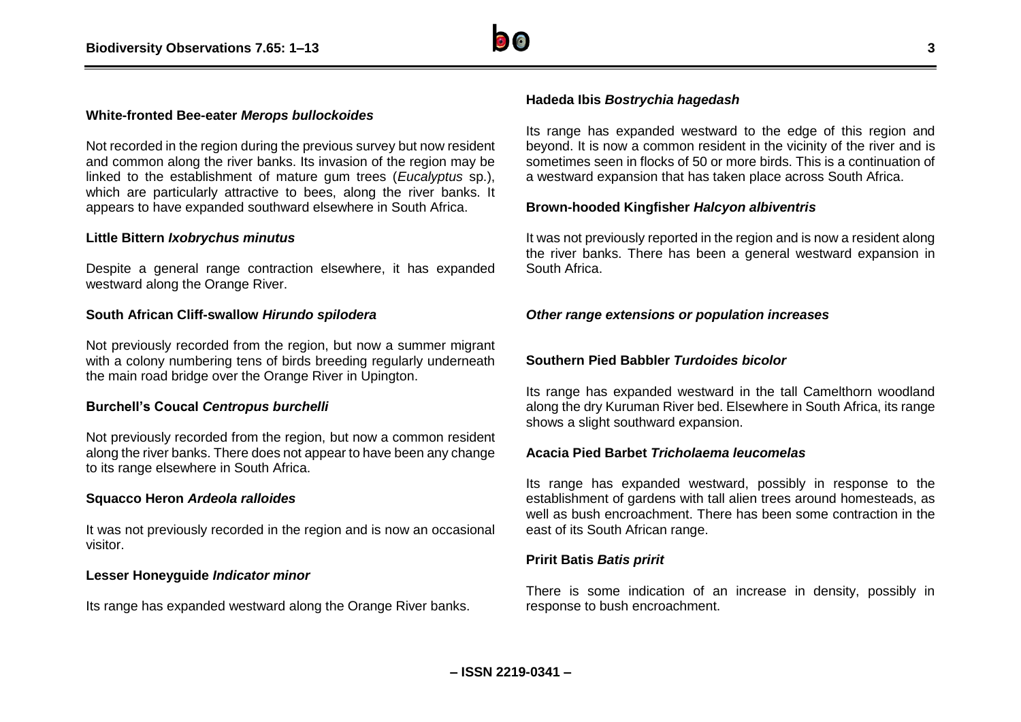

#### **White-fronted Bee-eater** *Merops bullockoides*

Not recorded in the region during the previous survey but now resident and common along the river banks. Its invasion of the region may be linked to the establishment of mature gum trees (*Eucalyptus* sp.), which are particularly attractive to bees, along the river banks. It appears to have expanded southward elsewhere in South Africa.

#### **Little Bittern** *Ixobrychus minutus*

Despite a general range contraction elsewhere, it has expanded westward along the Orange River.

#### **South African Cliff-swallow** *Hirundo spilodera*

Not previously recorded from the region, but now a summer migrant with a colony numbering tens of birds breeding regularly underneath the main road bridge over the Orange River in Upington.

#### **Burchell's Coucal** *Centropus burchelli*

Not previously recorded from the region, but now a common resident along the river banks. There does not appear to have been any change to its range elsewhere in South Africa.

#### **Squacco Heron** *Ardeola ralloides*

It was not previously recorded in the region and is now an occasional visitor.

#### **Lesser Honeyguide** *Indicator minor*

Its range has expanded westward along the Orange River banks.

#### **Hadeda Ibis** *Bostrychia hagedash*

Its range has expanded westward to the edge of this region and beyond. It is now a common resident in the vicinity of the river and is sometimes seen in flocks of 50 or more birds. This is a continuation of a westward expansion that has taken place across South Africa.

#### **Brown-hooded Kingfisher** *Halcyon albiventris*

It was not previously reported in the region and is now a resident along the river banks. There has been a general westward expansion in South Africa.

#### *Other range extensions or population increases*

#### **Southern Pied Babbler** *Turdoides bicolor*

Its range has expanded westward in the tall Camelthorn woodland along the dry Kuruman River bed. Elsewhere in South Africa, its range shows a slight southward expansion.

#### **Acacia Pied Barbet** *Tricholaema leucomelas*

Its range has expanded westward, possibly in response to the establishment of gardens with tall alien trees around homesteads, as well as bush encroachment. There has been some contraction in the east of its South African range.

#### **Pririt Batis** *Batis pririt*

There is some indication of an increase in density, possibly in response to bush encroachment.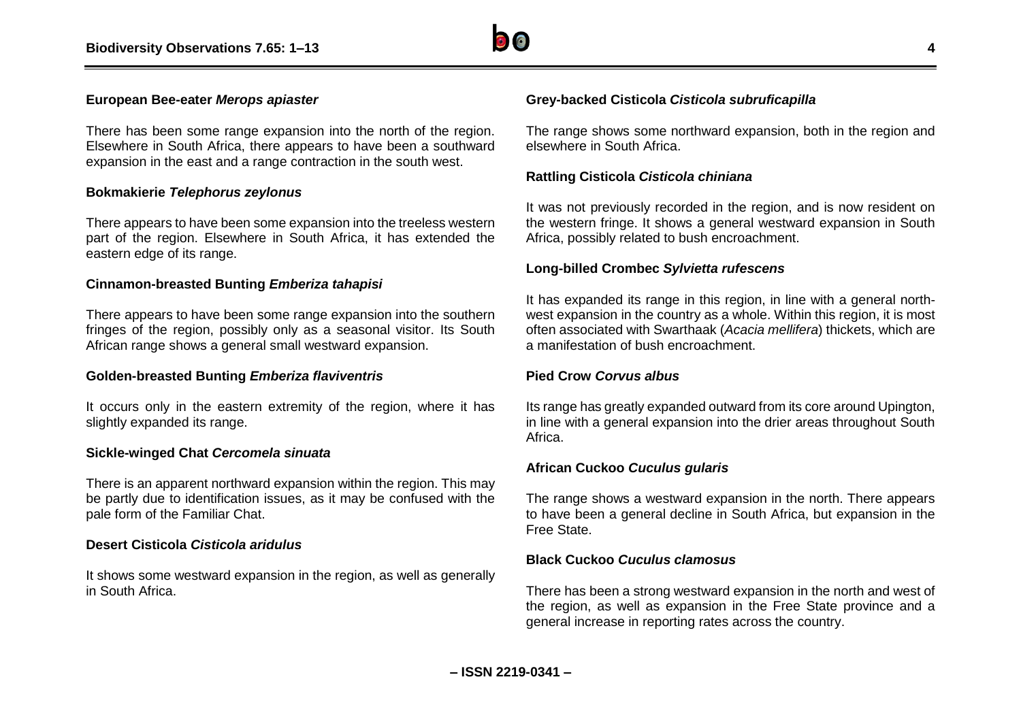

#### **European Bee-eater** *Merops apiaster*

There has been some range expansion into the north of the region. Elsewhere in South Africa, there appears to have been a southward expansion in the east and a range contraction in the south west.

#### **Bokmakierie** *Telephorus zeylonus*

There appears to have been some expansion into the treeless western part of the region. Elsewhere in South Africa, it has extended the eastern edge of its range.

#### **Cinnamon-breasted Bunting** *Emberiza tahapisi*

There appears to have been some range expansion into the southern fringes of the region, possibly only as a seasonal visitor. Its South African range shows a general small westward expansion.

#### **Golden-breasted Bunting** *Emberiza flaviventris*

It occurs only in the eastern extremity of the region, where it has slightly expanded its range.

#### **Sickle-winged Chat** *Cercomela sinuata*

There is an apparent northward expansion within the region. This may be partly due to identification issues, as it may be confused with the pale form of the Familiar Chat.

#### **Desert Cisticola** *Cisticola aridulus*

It shows some westward expansion in the region, as well as generally in South Africa.

#### **Grey-backed Cisticola** *Cisticola subruficapilla*

The range shows some northward expansion, both in the region and elsewhere in South Africa.

#### **Rattling Cisticola** *Cisticola chiniana*

It was not previously recorded in the region, and is now resident on the western fringe. It shows a general westward expansion in South Africa, possibly related to bush encroachment.

#### **Long-billed Crombec** *Sylvietta rufescens*

It has expanded its range in this region, in line with a general northwest expansion in the country as a whole. Within this region, it is most often associated with Swarthaak (*Acacia mellifera*) thickets, which are a manifestation of bush encroachment.

#### **Pied Crow** *Corvus albus*

Its range has greatly expanded outward from its core around Upington, in line with a general expansion into the drier areas throughout South Africa.

#### **African Cuckoo** *Cuculus gularis*

The range shows a westward expansion in the north. There appears to have been a general decline in South Africa, but expansion in the Free State.

#### **Black Cuckoo** *Cuculus clamosus*

There has been a strong westward expansion in the north and west of the region, as well as expansion in the Free State province and a general increase in reporting rates across the country.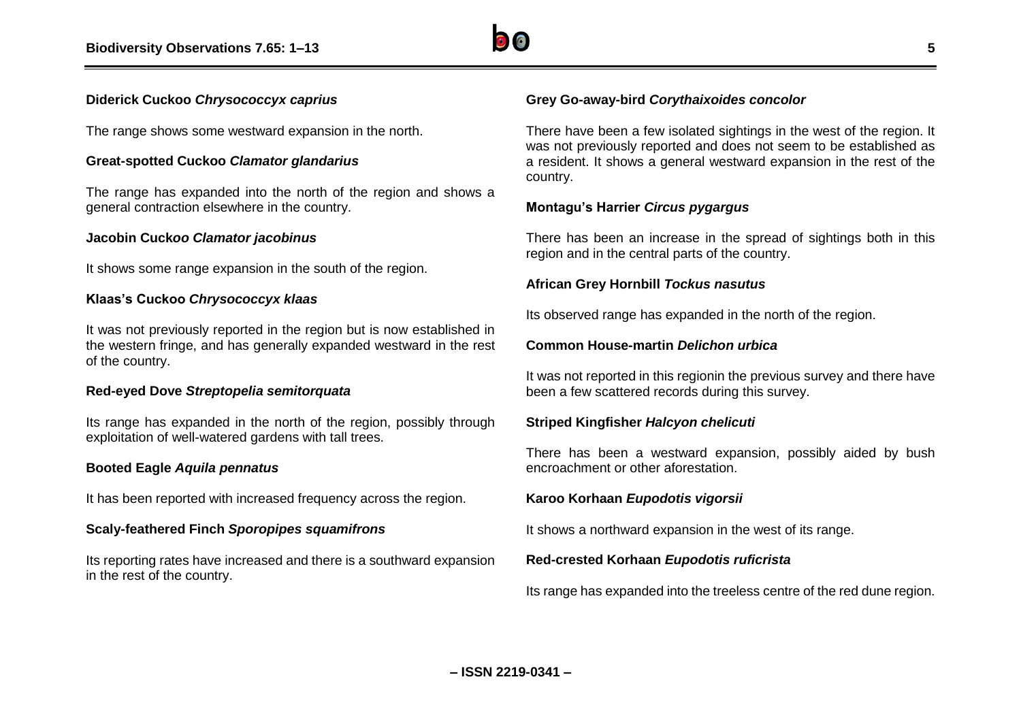

#### **Diderick Cuckoo** *Chrysococcyx caprius*

The range shows some westward expansion in the north.

#### **Great-spotted Cuckoo** *Clamator glandarius*

The range has expanded into the north of the region and shows a general contraction elsewhere in the country.

#### **Jacobin Cuck***oo Clamator jacobinus*

It shows some range expansion in the south of the region.

#### **Klaas's Cuckoo** *Chrysococcyx klaas*

It was not previously reported in the region but is now established in the western fringe, and has generally expanded westward in the rest of the country.

#### **Red-eyed Dove** *Streptopelia semitorquata*

Its range has expanded in the north of the region, possibly through exploitation of well-watered gardens with tall trees.

#### **Booted Eagle** *Aquila pennatus*

It has been reported with increased frequency across the region.

#### **Scaly-feathered Finch** *Sporopipes squamifrons*

Its reporting rates have increased and there is a southward expansion in the rest of the country.

#### **Grey Go-away-bird** *Corythaixoides concolor*

There have been a few isolated sightings in the west of the region. It was not previously reported and does not seem to be established as a resident. It shows a general westward expansion in the rest of the country.

#### **Montagu's Harrier** *Circus pygargus*

There has been an increase in the spread of sightings both in this region and in the central parts of the country.

#### **African Grey Hornbill** *Tockus nasutus*

Its observed range has expanded in the north of the region.

#### **Common House-martin** *Delichon urbica*

It was not reported in this regionin the previous survey and there have been a few scattered records during this survey.

#### **Striped Kingfisher** *Halcyon chelicuti*

There has been a westward expansion, possibly aided by bush encroachment or other aforestation.

#### **Karoo Korhaan** *Eupodotis vigorsii*

It shows a northward expansion in the west of its range.

#### **Red-crested Korhaan** *Eupodotis ruficrista*

Its range has expanded into the treeless centre of the red dune region.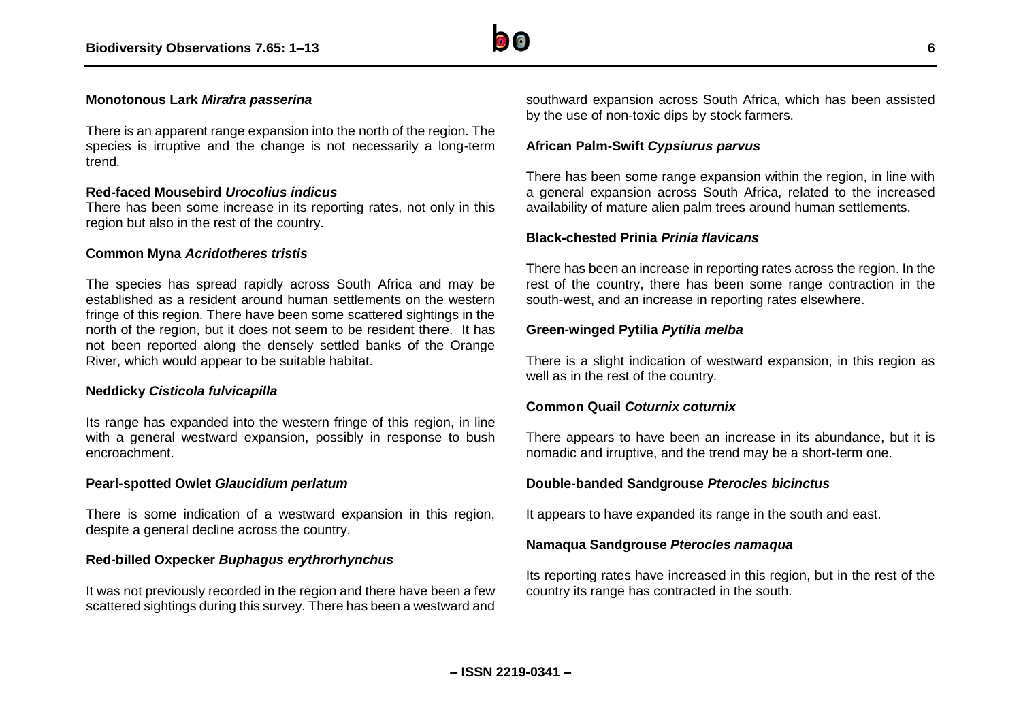

#### **Monotonous Lark** *Mirafra passerina*

There is an apparent range expansion into the north of the region. The species is irruptive and the change is not necessarily a long-term trend.

#### **Red-faced Mousebird** *Urocolius indicus*

There has been some increase in its reporting rates, not only in this region but also in the rest of the country.

#### **Common Myna** *Acridotheres tristis*

The species has spread rapidly across South Africa and may be established as a resident around human settlements on the western fringe of this region. There have been some scattered sightings in the north of the region, but it does not seem to be resident there. It has not been reported along the densely settled banks of the Orange River, which would appear to be suitable habitat.

#### **Neddicky** *Cisticola fulvicapilla*

Its range has expanded into the western fringe of this region, in line with a general westward expansion, possibly in response to bush encroachment.

#### **Pearl-spotted Owlet** *Glaucidium perlatum*

There is some indication of a westward expansion in this region, despite a general decline across the country.

#### **Red-billed Oxpecker** *Buphagus erythrorhynchus*

It was not previously recorded in the region and there have been a few scattered sightings during this survey. There has been a westward and southward expansion across South Africa, which has been assisted by the use of non-toxic dips by stock farmers.

#### **African Palm-Swift** *Cypsiurus parvus*

There has been some range expansion within the region, in line with a general expansion across South Africa, related to the increased availability of mature alien palm trees around human settlements.

#### **Black-chested Prinia** *Prinia flavicans*

There has been an increase in reporting rates across the region. In the rest of the country, there has been some range contraction in the south-west, and an increase in reporting rates elsewhere.

#### **Green-winged Pytilia** *Pytilia melba*

There is a slight indication of westward expansion, in this region as well as in the rest of the country*.*

#### **Common Quail** *Coturnix coturnix*

There appears to have been an increase in its abundance, but it is nomadic and irruptive, and the trend may be a short-term one.

#### **Double-banded Sandgrouse** *Pterocles bicinctus*

It appears to have expanded its range in the south and east.

#### **Namaqua Sandgrouse** *Pterocles namaqua*

Its reporting rates have increased in this region, but in the rest of the country its range has contracted in the south.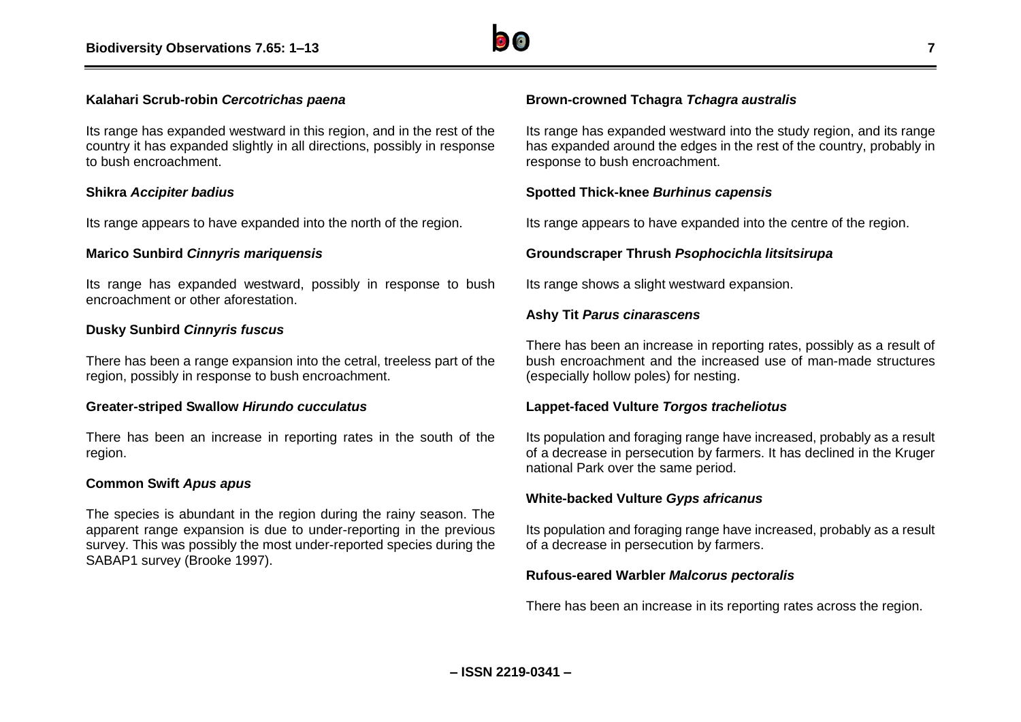

#### **Kalahari Scrub-robin** *Cercotrichas paena*

Its range has expanded westward in this region, and in the rest of the country it has expanded slightly in all directions, possibly in response to bush encroachment.

#### **Shikra** *Accipiter badius*

Its range appears to have expanded into the north of the region.

#### **Marico Sunbird** *Cinnyris mariquensis*

Its range has expanded westward, possibly in response to bush encroachment or other aforestation.

#### **Dusky Sunbird** *Cinnyris fuscus*

There has been a range expansion into the cetral, treeless part of the region, possibly in response to bush encroachment.

#### **Greater-striped Swallow** *Hirundo cucculatus*

There has been an increase in reporting rates in the south of the region.

#### **Common Swift** *Apus apus*

The species is abundant in the region during the rainy season. The apparent range expansion is due to under-reporting in the previous survey. This was possibly the most under-reported species during the SABAP1 survey (Brooke 1997).

#### **Brown-crowned Tchagra** *Tchagra australis*

Its range has expanded westward into the study region, and its range has expanded around the edges in the rest of the country, probably in response to bush encroachment.

#### **Spotted Thick-knee** *Burhinus capensis*

Its range appears to have expanded into the centre of the region.

#### **Groundscraper Thrush** *Psophocichla litsitsirupa*

Its range shows a slight westward expansion.

#### **Ashy Tit** *Parus cinarascens*

There has been an increase in reporting rates, possibly as a result of bush encroachment and the increased use of man-made structures (especially hollow poles) for nesting.

#### **Lappet-faced Vulture** *Torgos tracheliotus*

Its population and foraging range have increased, probably as a result of a decrease in persecution by farmers. It has declined in the Kruger national Park over the same period.

#### **White-backed Vulture** *Gyps africanus*

Its population and foraging range have increased, probably as a result of a decrease in persecution by farmers.

#### **Rufous-eared Warbler** *Malcorus pectoralis*

There has been an increase in its reporting rates across the region.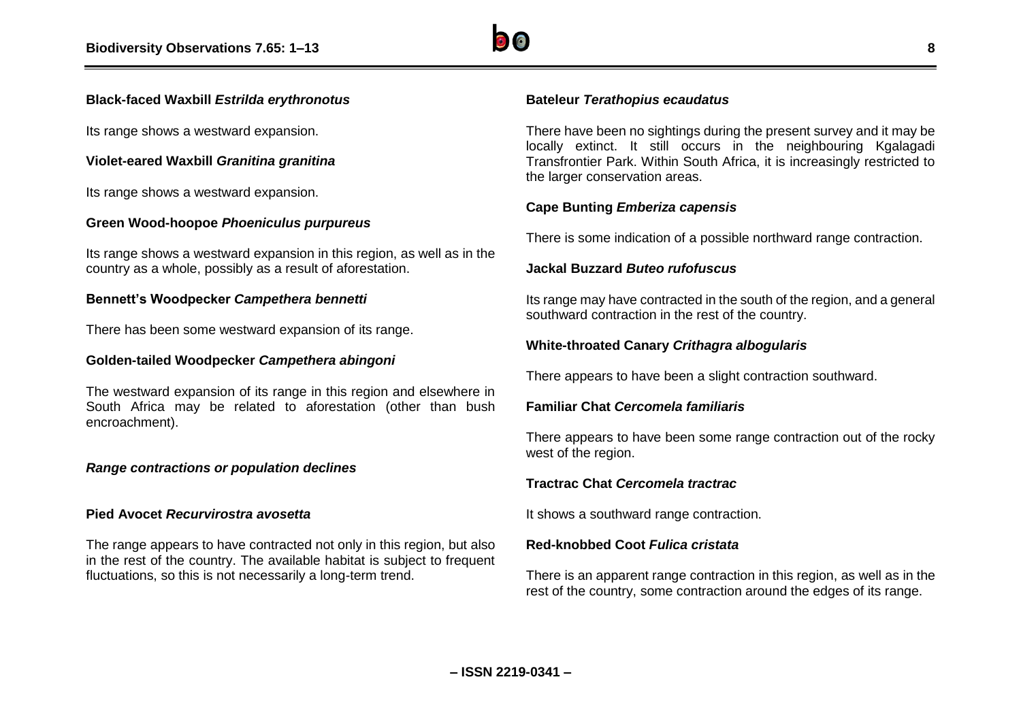#### **Black-faced Waxbill** *Estrilda erythronotus*

Its range shows a westward expansion.

## **Violet-eared Waxbill** *Granitina granitina*

Its range shows a westward expansion.

## **Green Wood-hoopoe** *Phoeniculus purpureus*

Its range shows a westward expansion in this region, as well as in the country as a whole, possibly as a result of aforestation.

#### **Bennett's Woodpecker** *Campethera bennetti*

There has been some westward expansion of its range.

#### **Golden-tailed Woodpecker** *Campethera abingoni*

The westward expansion of its range in this region and elsewhere in South Africa may be related to aforestation (other than bush encroachment).

#### *Range contractions or population declines*

#### **Pied Avocet** *Recurvirostra avosetta*

The range appears to have contracted not only in this region, but also in the rest of the country. The available habitat is subject to frequent fluctuations, so this is not necessarily a long-term trend.

#### **Bateleur** *Terathopius ecaudatus*

There have been no sightings during the present survey and it may be locally extinct. It still occurs in the neighbouring Kgalagadi Transfrontier Park. Within South Africa, it is increasingly restricted to the larger conservation areas.

# **Cape Bunting** *Emberiza capensis*

There is some indication of a possible northward range contraction.

#### **Jackal Buzzard** *Buteo rufofuscus*

Its range may have contracted in the south of the region, and a general southward contraction in the rest of the country.

## **White-throated Canary** *Crithagra albogularis*

There appears to have been a slight contraction southward.

#### **Familiar Chat** *Cercomela familiaris*

There appears to have been some range contraction out of the rocky west of the region.

#### **Tractrac Chat** *Cercomela tractrac*

It shows a southward range contraction.

#### **Red-knobbed Coot** *Fulica cristata*

There is an apparent range contraction in this region, as well as in the rest of the country, some contraction around the edges of its range.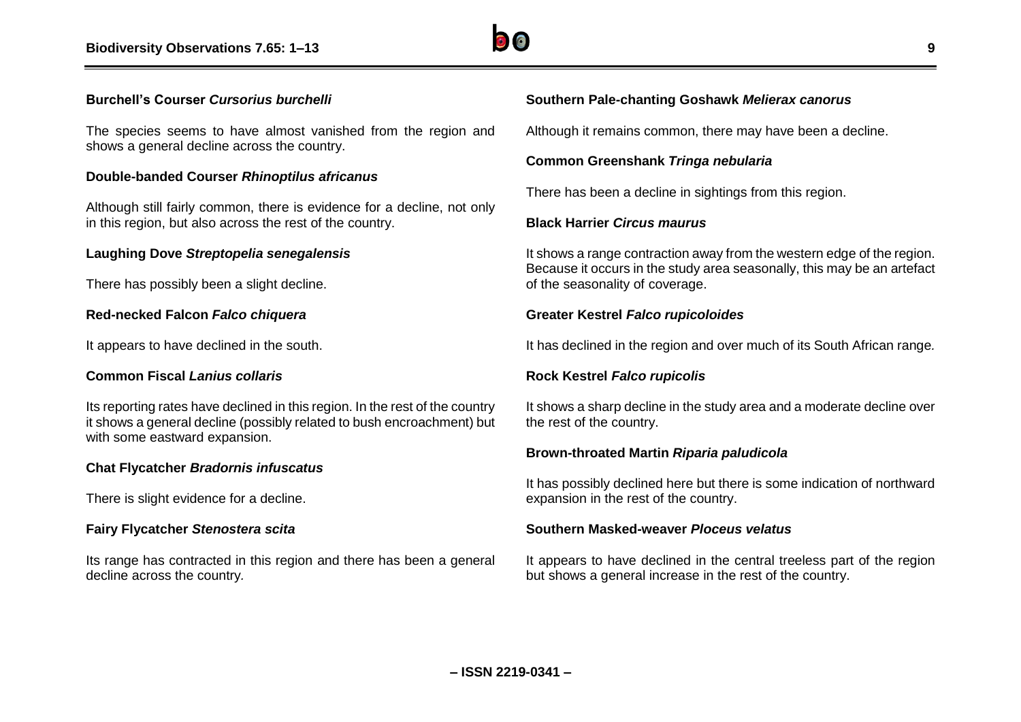

#### **Burchell's Courser** *Cursorius burchelli*

The species seems to have almost vanished from the region and shows a general decline across the country.

#### **Double-banded Courser** *Rhinoptilus africanus*

Although still fairly common, there is evidence for a decline, not only in this region, but also across the rest of the country.

#### **Laughing Dove** *Streptopelia senegalensis*

There has possibly been a slight decline.

#### **Red-necked Falcon** *Falco chiquera*

It appears to have declined in the south.

#### **Common Fiscal** *Lanius collaris*

Its reporting rates have declined in this region. In the rest of the country it shows a general decline (possibly related to bush encroachment) but with some eastward expansion.

#### **Chat Flycatcher** *Bradornis infuscatus*

There is slight evidence for a decline.

#### **Fairy Flycatcher** *Stenostera scita*

Its range has contracted in this region and there has been a general decline across the country*.*

#### **Southern Pale-chanting Goshawk** *Melierax canorus*

Although it remains common, there may have been a decline.

#### **Common Greenshank** *Tringa nebularia*

There has been a decline in sightings from this region.

#### **Black Harrier** *Circus maurus*

It shows a range contraction away from the western edge of the region. Because it occurs in the study area seasonally, this may be an artefact of the seasonality of coverage.

#### **Greater Kestrel** *Falco rupicoloides*

It has declined in the region and over much of its South African range*.*

#### **Rock Kestrel** *Falco rupicolis*

It shows a sharp decline in the study area and a moderate decline over the rest of the country.

#### **Brown-throated Martin** *Riparia paludicola*

It has possibly declined here but there is some indication of northward expansion in the rest of the country.

#### **Southern Masked-weaver** *Ploceus velatus*

It appears to have declined in the central treeless part of the region but shows a general increase in the rest of the country.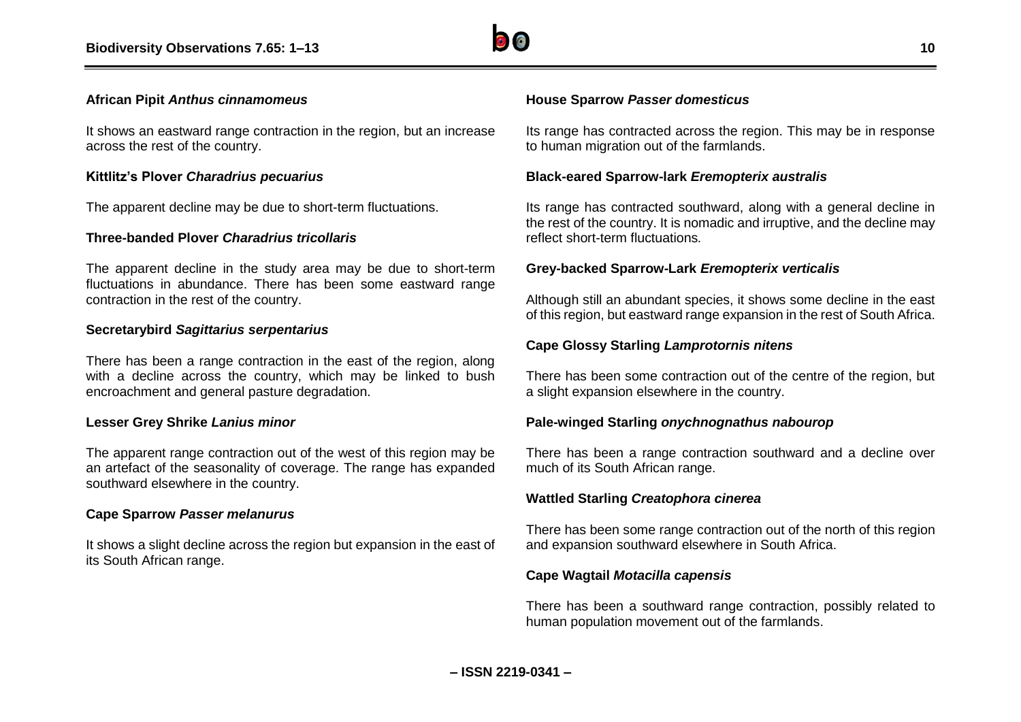

#### **African Pipit** *Anthus cinnamomeus*

It shows an eastward range contraction in the region, but an increase across the rest of the country.

#### **Kittlitz's Plover** *Charadrius pecuarius*

The apparent decline may be due to short-term fluctuations.

#### **Three-banded Plover** *Charadrius tricollaris*

The apparent decline in the study area may be due to short-term fluctuations in abundance. There has been some eastward range contraction in the rest of the country.

#### **Secretarybird** *Sagittarius serpentarius*

There has been a range contraction in the east of the region, along with a decline across the country, which may be linked to bush encroachment and general pasture degradation.

#### **Lesser Grey Shrike** *Lanius minor*

The apparent range contraction out of the west of this region may be an artefact of the seasonality of coverage. The range has expanded southward elsewhere in the country.

#### **Cape Sparrow** *Passer melanurus*

It shows a slight decline across the region but expansion in the east of its South African range.

#### **House Sparrow** *Passer domesticus*

Its range has contracted across the region. This may be in response to human migration out of the farmlands.

#### **Black-eared Sparrow-lark** *Eremopterix australis*

Its range has contracted southward, along with a general decline in the rest of the country. It is nomadic and irruptive, and the decline may reflect short-term fluctuations*.*

#### **Grey-backed Sparrow-Lark** *Eremopterix verticalis*

Although still an abundant species, it shows some decline in the east of this region, but eastward range expansion in the rest of South Africa.

#### **Cape Glossy Starling** *Lamprotornis nitens*

There has been some contraction out of the centre of the region, but a slight expansion elsewhere in the country.

#### **Pale-winged Starling** *onychnognathus nabourop*

There has been a range contraction southward and a decline over much of its South African range.

#### **Wattled Starling** *Creatophora cinerea*

There has been some range contraction out of the north of this region and expansion southward elsewhere in South Africa.

#### **Cape Wagtail** *Motacilla capensis*

There has been a southward range contraction, possibly related to human population movement out of the farmlands.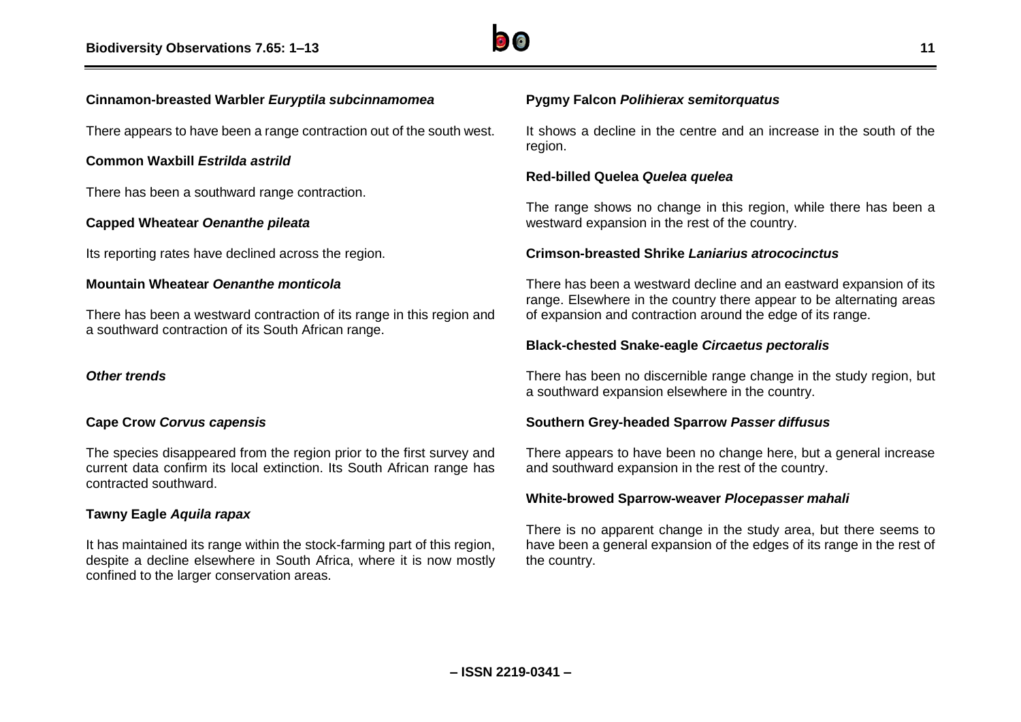

#### **Cinnamon-breasted Warbler** *Euryptila subcinnamomea*

There appears to have been a range contraction out of the south west.

#### **Common Waxbill** *Estrilda astrild*

There has been a southward range contraction.

#### **Capped Wheatear** *Oenanthe pileata*

Its reporting rates have declined across the region.

#### **Mountain Wheatear** *Oenanthe monticola*

There has been a westward contraction of its range in this region and a southward contraction of its South African range.

#### *Other trends*

#### **Cape Crow** *Corvus capensis*

The species disappeared from the region prior to the first survey and current data confirm its local extinction. Its South African range has contracted southward.

#### **Tawny Eagle** *Aquila rapax*

It has maintained its range within the stock-farming part of this region, despite a decline elsewhere in South Africa, where it is now mostly confined to the larger conservation areas.

# **Pygmy Falcon** *Polihierax semitorquatus*

It shows a decline in the centre and an increase in the south of the region.

#### **Red-billed Quelea** *Quelea quelea*

The range shows no change in this region, while there has been a westward expansion in the rest of the country.

#### **Crimson-breasted Shrike** *Laniarius atrococinctus*

There has been a westward decline and an eastward expansion of its range. Elsewhere in the country there appear to be alternating areas of expansion and contraction around the edge of its range.

#### **Black-chested Snake-eagle** *Circaetus pectoralis*

There has been no discernible range change in the study region, but a southward expansion elsewhere in the country.

#### **Southern Grey-headed Sparrow** *Passer diffusus*

There appears to have been no change here, but a general increase and southward expansion in the rest of the country.

#### **White-browed Sparrow-weaver** *Plocepasser mahali*

There is no apparent change in the study area, but there seems to have been a general expansion of the edges of its range in the rest of the country.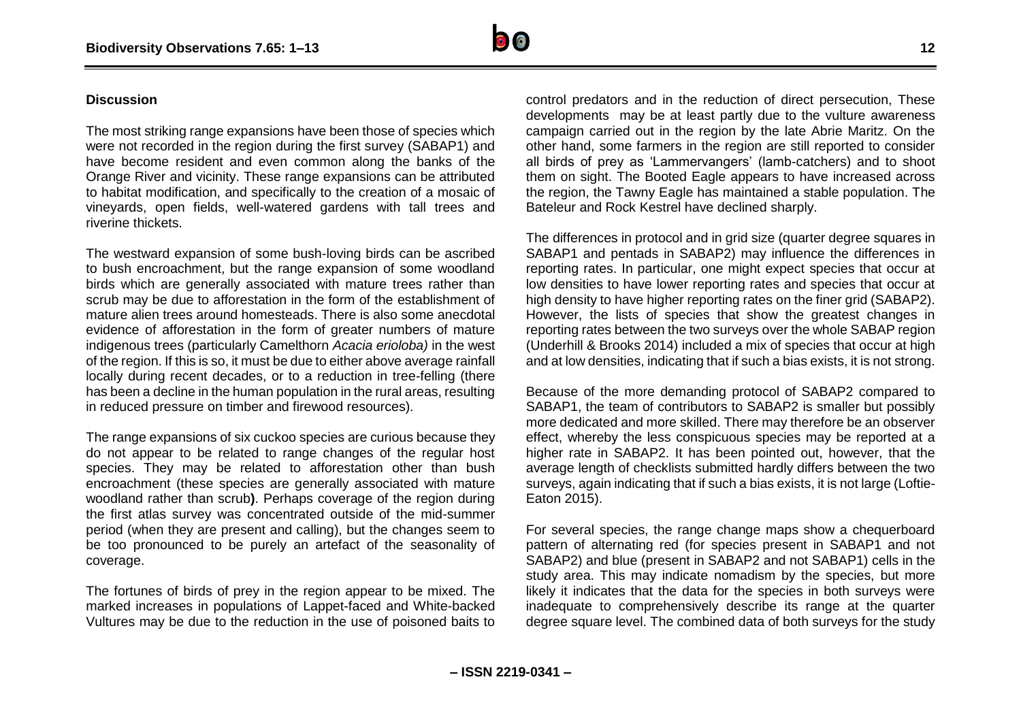

#### **Discussion**

The most striking range expansions have been those of species which were not recorded in the region during the first survey (SABAP1) and have become resident and even common along the banks of the Orange River and vicinity. These range expansions can be attributed to habitat modification, and specifically to the creation of a mosaic of vineyards, open fields, well-watered gardens with tall trees and riverine thickets.

The westward expansion of some bush-loving birds can be ascribed to bush encroachment, but the range expansion of some woodland birds which are generally associated with mature trees rather than scrub may be due to afforestation in the form of the establishment of mature alien trees around homesteads. There is also some anecdotal evidence of afforestation in the form of greater numbers of mature indigenous trees (particularly Camelthorn *Acacia erioloba)* in the west of the region. If this is so, it must be due to either above average rainfall locally during recent decades, or to a reduction in tree-felling (there has been a decline in the human population in the rural areas, resulting in reduced pressure on timber and firewood resources).

The range expansions of six cuckoo species are curious because they do not appear to be related to range changes of the regular host species. They may be related to afforestation other than bush encroachment (these species are generally associated with mature woodland rather than scrub**)**. Perhaps coverage of the region during the first atlas survey was concentrated outside of the mid-summer period (when they are present and calling), but the changes seem to be too pronounced to be purely an artefact of the seasonality of coverage.

The fortunes of birds of prey in the region appear to be mixed. The marked increases in populations of Lappet-faced and White-backed Vultures may be due to the reduction in the use of poisoned baits to

control predators and in the reduction of direct persecution, These developments may be at least partly due to the vulture awareness campaign carried out in the region by the late Abrie Maritz. On the other hand, some farmers in the region are still reported to consider all birds of prey as 'Lammervangers' (lamb-catchers) and to shoot them on sight. The Booted Eagle appears to have increased across the region, the Tawny Eagle has maintained a stable population. The Bateleur and Rock Kestrel have declined sharply.

The differences in protocol and in grid size (quarter degree squares in SABAP1 and pentads in SABAP2) may influence the differences in reporting rates. In particular, one might expect species that occur at low densities to have lower reporting rates and species that occur at high density to have higher reporting rates on the finer grid (SABAP2). However, the lists of species that show the greatest changes in reporting rates between the two surveys over the whole SABAP region (Underhill & Brooks 2014) included a mix of species that occur at high and at low densities, indicating that if such a bias exists, it is not strong.

Because of the more demanding protocol of SABAP2 compared to SABAP1, the team of contributors to SABAP2 is smaller but possibly more dedicated and more skilled. There may therefore be an observer effect, whereby the less conspicuous species may be reported at a higher rate in SABAP2. It has been pointed out, however, that the average length of checklists submitted hardly differs between the two surveys, again indicating that if such a bias exists, it is not large (Loftie-Eaton 2015).

For several species, the range change maps show a chequerboard pattern of alternating red (for species present in SABAP1 and not SABAP2) and blue (present in SABAP2 and not SABAP1) cells in the study area. This may indicate nomadism by the species, but more likely it indicates that the data for the species in both surveys were inadequate to comprehensively describe its range at the quarter degree square level. The combined data of both surveys for the study